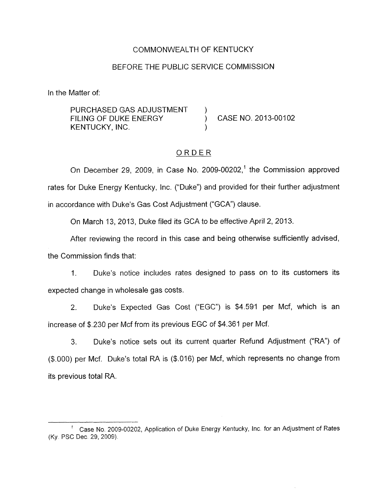## COMMONWEALTH OF KENTUCKY

## BEFORE THE PUBLIC SERVICE COMMISSION

<span id="page-0-0"></span>In the Matter of:

PURCHASED GAS ADJUSTMENT<br>FILING OF DUKE ENERGY KENTUCKY, INC.

CASE NO. 2013-00102

## ORDER

On December 29, 2009, in Case No. 2009-00202,<sup>1</sup> the Commission approved rates for Duke Energy Kentucky, Inc. ("Duke") and provided for their further adjustment in accordance with Duke's Gas Cost Adjustment ("GCA") clause.

On March 13, 2013, Duke filed its GCA to be effective April 2, 2013.

After reviewing the record in this case and being otherwise sufficiently advised, the Commission finds that:

1. Duke's notice includes rates designed to pass on to its customers its expected change in wholesale gas costs.

2. Duke's Expected Gas Cost ("EGC") is \$4.591 per Mcf, which is an increase of *\$.230* per Mcf from its previous EGC of \$4.361 per Mcf.

3. Duke's notice sets out its current quarter Refund Adjustment ("RA") of *(\$.OOO)* per Mcf. Duke's total RA is (\$.016) per Mcf, which represents no change from its previous total RA.

<sup>&</sup>lt;sup>1</sup> Case No. 2009-00202, Application of Duke Energy Kentucky, Inc. for an Adjustment of Rates (Ky PSC Dec 29,2009).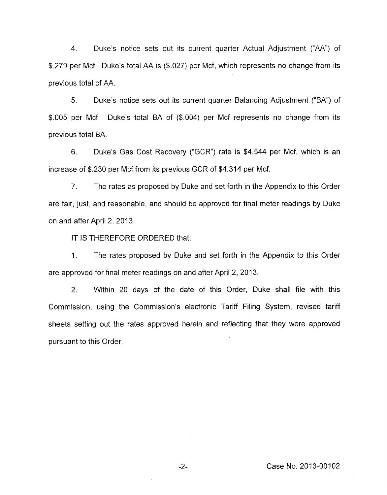<span id="page-1-0"></span>4. Duke's notice sets out its current quarter Actual Adjustment ("AA") of \$.279 per Mcf. Duke's total AA is (\$.027) per Mcf, which represents no change from its previous total of AA.

5. Duke's notice sets out its current quarter Balancing Adjustment ("BA") of \$.005 per Mcf. Duke's total BA of (\$.004) per Mcf represents no change from its previous total BA.

*6.* Duke's Gas Cost Recovery ("GCR") rate is \$4.544 per Mcf, which is an increase of \$.230 per Mcf from its previous GCR of \$4.314 per Mcf.

7. The rates as proposed by Duke and set forth in the Appendix to this Order are fair, just, and reasonable, and should be approved for final meter readings by Duke on and after April 2, 2013.

IT IS THEREFORE ORDERED that:

1. The rates proposed by Duke and set forth in the Appendix to this Order are approved for final meter readings on and after April 2, 2013.

2. Within 20 days of the date of this Order, Duke shall file with this Commission, using the Commission's electronic Tariff Filing System, revised tariff sheets setting out the rates approved herein and reflecting that they were approved pursuant to this Order.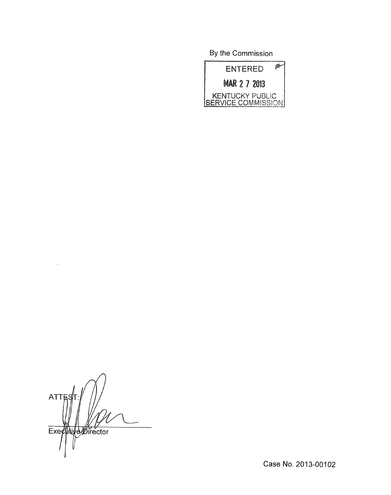By the Commission



**ATTE** Executive Director

Case No. 2013-00102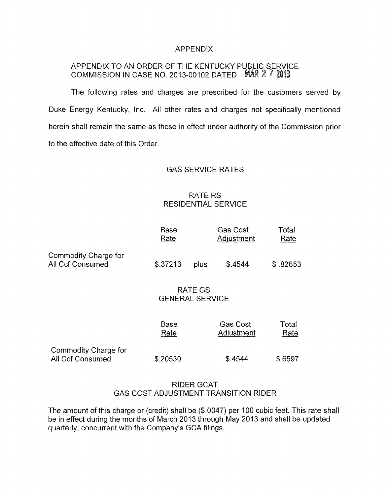#### APPENDIX

# APPENDIX TO AN ORDER OF THE KENTUCKY PUBLIC SERVICE COMMISSION IN CASE NO. 2013-00102 DATED **MAR 2 7 2013**

The following rates and charges are prescribed for the customers served by Duke Energy Kentucky, lnc. All other rates and charges not specifically mentioned herein shall remain the same as those in effect under authority of the Commission prior to the effective date of this Order.

# GAS SERVICE RATES

## RATE RS RESIDENTIAL SERVICE

|                                                        |                     | RAIE RS | <b>RESIDENTIAL SERVICE</b>           |               |  |
|--------------------------------------------------------|---------------------|---------|--------------------------------------|---------------|--|
|                                                        | Base<br>Rate        |         | <b>Gas Cost</b><br>Adjustment        | Total<br>Rate |  |
| Commodity Charge for<br>All Ccf Consumed               | \$.37213            | plus    | \$.4544                              | \$.82653      |  |
| RATE GS<br><b>GENERAL SERVICE</b>                      |                     |         |                                      |               |  |
|                                                        | <b>Base</b><br>Rate |         | <b>Gas Cost</b><br><b>Adjustment</b> | Total<br>Rate |  |
| <b>Commodity Charge for</b><br><b>All Ccf Consumed</b> | \$.20530            |         | \$.4544                              | \$.6597       |  |

# RIDER GCAT GAS COST ADJUSTMENT TRANSITION RIDER

The amount of this charge or (credit) shall be (\$.0047) per I00 cubic feet. This rate shall be in effect during the months of March 2013 through May 2013 and shall be updated quarterly, concurrent with the Company's GCA filings.